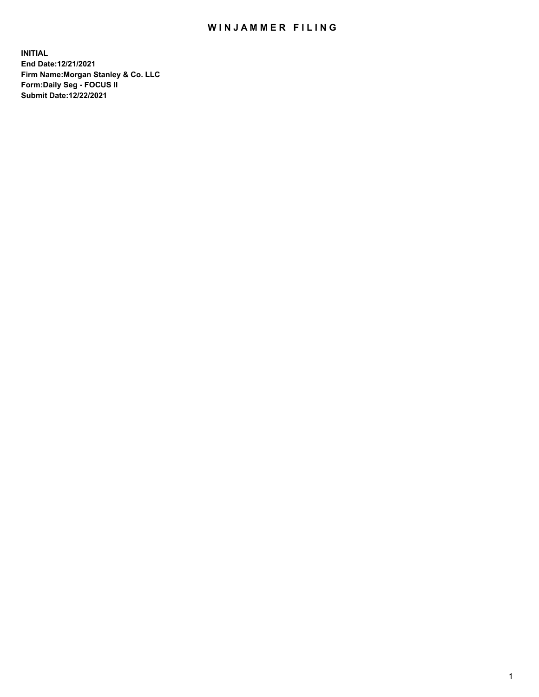## WIN JAMMER FILING

**INITIAL End Date:12/21/2021 Firm Name:Morgan Stanley & Co. LLC Form:Daily Seg - FOCUS II Submit Date:12/22/2021**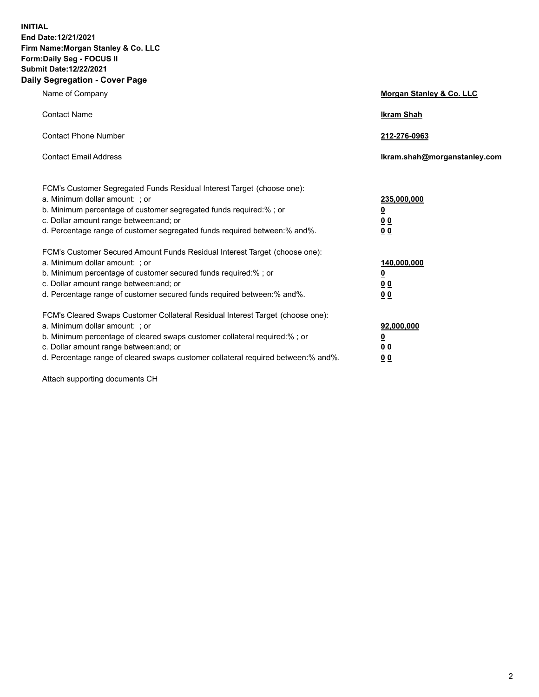**INITIAL End Date:12/21/2021 Firm Name:Morgan Stanley & Co. LLC Form:Daily Seg - FOCUS II Submit Date:12/22/2021 Daily Segregation - Cover Page**

| Name of Company                                                                                                                                                                                                                                                                                                                | Morgan Stanley & Co. LLC                                |
|--------------------------------------------------------------------------------------------------------------------------------------------------------------------------------------------------------------------------------------------------------------------------------------------------------------------------------|---------------------------------------------------------|
| <b>Contact Name</b>                                                                                                                                                                                                                                                                                                            | <b>Ikram Shah</b>                                       |
| <b>Contact Phone Number</b>                                                                                                                                                                                                                                                                                                    | 212-276-0963                                            |
| <b>Contact Email Address</b>                                                                                                                                                                                                                                                                                                   | Ikram.shah@morganstanley.com                            |
| FCM's Customer Segregated Funds Residual Interest Target (choose one):<br>a. Minimum dollar amount: ; or<br>b. Minimum percentage of customer segregated funds required:%; or<br>c. Dollar amount range between: and; or<br>d. Percentage range of customer segregated funds required between: % and %.                        | 235,000,000<br><u>0</u><br>00<br>0 Q                    |
| FCM's Customer Secured Amount Funds Residual Interest Target (choose one):<br>a. Minimum dollar amount: ; or<br>b. Minimum percentage of customer secured funds required:%; or<br>c. Dollar amount range between: and; or<br>d. Percentage range of customer secured funds required between:% and%.                            | 140,000,000<br><u>0</u><br><u>0 0</u><br>0 <sub>0</sub> |
| FCM's Cleared Swaps Customer Collateral Residual Interest Target (choose one):<br>a. Minimum dollar amount: ; or<br>b. Minimum percentage of cleared swaps customer collateral required:% ; or<br>c. Dollar amount range between: and; or<br>d. Percentage range of cleared swaps customer collateral required between:% and%. | 92,000,000<br><u>0</u><br><u>00</u><br>00               |

Attach supporting documents CH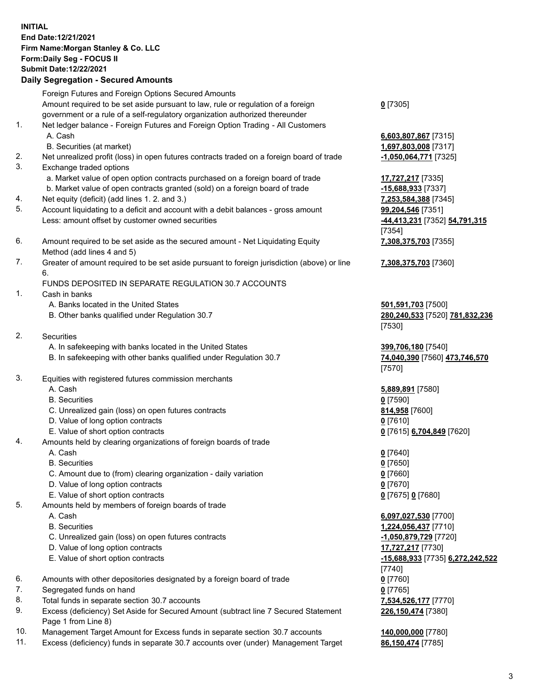## **INITIAL End Date:12/21/2021 Firm Name:Morgan Stanley & Co. LLC Form:Daily Seg - FOCUS II Submit Date:12/22/2021**

## **Daily Segregation - Secured Amounts**

Foreign Futures and Foreign Options Secured Amounts Amount required to be set aside pursuant to law, rule or regulation of a foreign government or a rule of a self-regulatory organization authorized thereunder

- 1. Net ledger balance Foreign Futures and Foreign Option Trading All Customers A. Cash **6,603,807,867** [7315]
	- B. Securities (at market) **1,697,803,008** [7317]
- 2. Net unrealized profit (loss) in open futures contracts traded on a foreign board of trade **-1,050,064,771** [7325]
- 3. Exchange traded options
	- a. Market value of open option contracts purchased on a foreign board of trade **17,727,217** [7335]
	- b. Market value of open contracts granted (sold) on a foreign board of trade **-15,688,933** [7337]
- 4. Net equity (deficit) (add lines 1. 2. and 3.) **7,253,584,388** [7345]
- 5. Account liquidating to a deficit and account with a debit balances gross amount **99,204,546** [7351] Less: amount offset by customer owned securities **-44,413,231** [7352] **54,791,315**
- 6. Amount required to be set aside as the secured amount Net Liquidating Equity Method (add lines 4 and 5)
- 7. Greater of amount required to be set aside pursuant to foreign jurisdiction (above) or line 6.

## FUNDS DEPOSITED IN SEPARATE REGULATION 30.7 ACCOUNTS

- 1. Cash in banks
	- A. Banks located in the United States **501,591,703** [7500]
	- B. Other banks qualified under Regulation 30.7 **280,240,533** [7520] **781,832,236**
- 2. Securities
	- A. In safekeeping with banks located in the United States **399,706,180** [7540]
	- B. In safekeeping with other banks qualified under Regulation 30.7 **74,040,390** [7560] **473,746,570**
- 3. Equities with registered futures commission merchants
	-
	- B. Securities **0** [7590]
	- C. Unrealized gain (loss) on open futures contracts **814,958** [7600]
	- D. Value of long option contracts **0** [7610]
	- E. Value of short option contracts **0** [7615] **6,704,849** [7620]
- 4. Amounts held by clearing organizations of foreign boards of trade
	- A. Cash **0** [7640]
	- B. Securities **0** [7650]
	- C. Amount due to (from) clearing organization daily variation **0** [7660]
	- D. Value of long option contracts **0** [7670]
	- E. Value of short option contracts **0** [7675] **0** [7680]
- 5. Amounts held by members of foreign boards of trade
	-
	-
	- C. Unrealized gain (loss) on open futures contracts **and the set of the set of the set of the set of the set of the set of the set of the set of the set of the set of the set of the set of the set of the set of the set of**
	- D. Value of long option contracts **17,727,217** [7730]
	-
- 6. Amounts with other depositories designated by a foreign board of trade **0** [7760]
- 7. Segregated funds on hand **0** [7765]
- 8. Total funds in separate section 30.7 accounts **7,534,526,177** [7770]
- 9. Excess (deficiency) Set Aside for Secured Amount (subtract line 7 Secured Statement Page 1 from Line 8)
- 10. Management Target Amount for Excess funds in separate section 30.7 accounts **140,000,000** [7780]
- 11. Excess (deficiency) funds in separate 30.7 accounts over (under) Management Target **86,150,474** [7785]

**0** [7305]

[7354] **7,308,375,703** [7355]

**7,308,375,703** [7360]

[7530]

[7570]

A. Cash **5,889,891** [7580]

 A. Cash **6,097,027,530** [7700] B. Securities **1,224,056,437** [7710] E. Value of short option contracts **-15,688,933** [7735] **6,272,242,522** [7740] **226,150,474** [7380]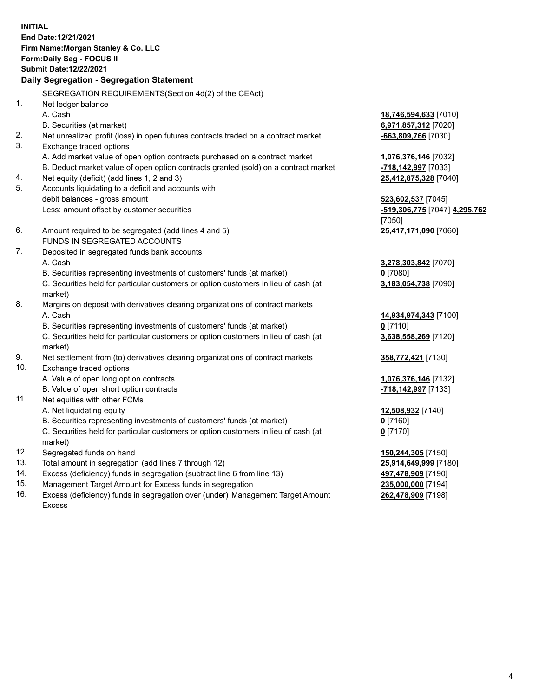**INITIAL End Date:12/21/2021 Firm Name:Morgan Stanley & Co. LLC Form:Daily Seg - FOCUS II Submit Date:12/22/2021 Daily Segregation - Segregation Statement** SEGREGATION REQUIREMENTS(Section 4d(2) of the CEAct) 1. Net ledger balance A. Cash **18,746,594,633** [7010] B. Securities (at market) **6,971,857,312** [7020] 2. Net unrealized profit (loss) in open futures contracts traded on a contract market **-663,809,766** [7030] 3. Exchange traded options A. Add market value of open option contracts purchased on a contract market **1,076,376,146** [7032] B. Deduct market value of open option contracts granted (sold) on a contract market **-718,142,997** [7033] 4. Net equity (deficit) (add lines 1, 2 and 3) **25,412,875,328** [7040] 5. Accounts liquidating to a deficit and accounts with debit balances - gross amount **523,602,537** [7045] Less: amount offset by customer securities **-519,306,775** [7047] **4,295,762** [7050] 6. Amount required to be segregated (add lines 4 and 5) **25,417,171,090** [7060] FUNDS IN SEGREGATED ACCOUNTS 7. Deposited in segregated funds bank accounts A. Cash **3,278,303,842** [7070] B. Securities representing investments of customers' funds (at market) **0** [7080] C. Securities held for particular customers or option customers in lieu of cash (at market) **3,183,054,738** [7090] 8. Margins on deposit with derivatives clearing organizations of contract markets A. Cash **14,934,974,343** [7100] B. Securities representing investments of customers' funds (at market) **0** [7110] C. Securities held for particular customers or option customers in lieu of cash (at market) **3,638,558,269** [7120] 9. Net settlement from (to) derivatives clearing organizations of contract markets **358,772,421** [7130] 10. Exchange traded options A. Value of open long option contracts **1,076,376,146** [7132] B. Value of open short option contracts **-718,142,997** [7133] 11. Net equities with other FCMs A. Net liquidating equity **12,508,932** [7140] B. Securities representing investments of customers' funds (at market) **0** [7160] C. Securities held for particular customers or option customers in lieu of cash (at market) **0** [7170] 12. Segregated funds on hand **150,244,305** [7150] 13. Total amount in segregation (add lines 7 through 12) **25,914,649,999** [7180] 14. Excess (deficiency) funds in segregation (subtract line 6 from line 13) **497,478,909** [7190] 15. Management Target Amount for Excess funds in segregation **235,000,000** [7194]

16. Excess (deficiency) funds in segregation over (under) Management Target Amount Excess

**262,478,909** [7198]